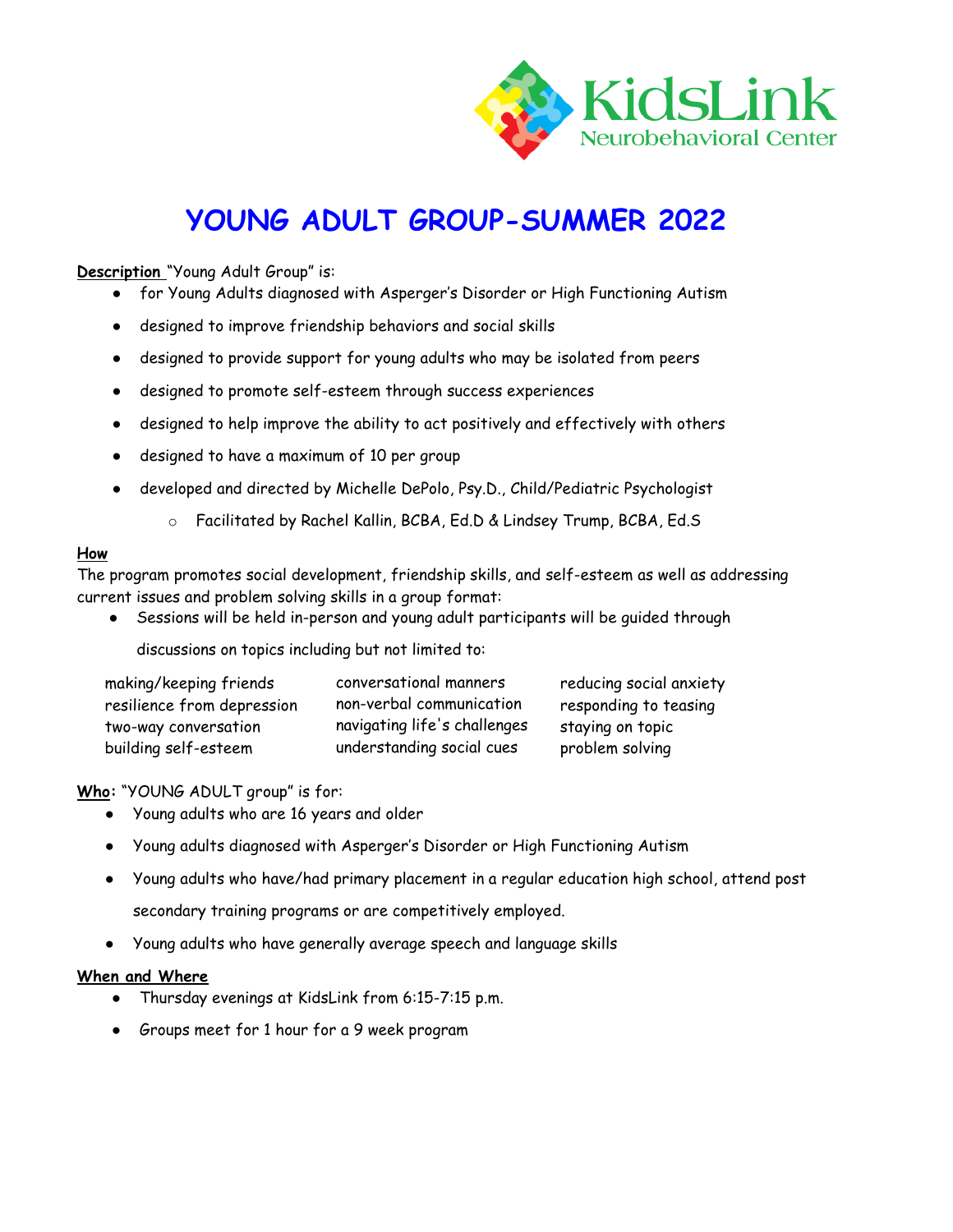

# **YOUNG ADULT GROUP-SUMMER 2022**

## **Description** "Young Adult Group" is:

- for Young Adults diagnosed with Asperger's Disorder or High Functioning Autism
- designed to improve friendship behaviors and social skills
- designed to provide support for young adults who may be isolated from peers
- designed to promote self-esteem through success experiences
- designed to help improve the ability to act positively and effectively with others
- designed to have a maximum of 10 per group
- developed and directed by Michelle DePolo, Psy.D., Child/Pediatric Psychologist
	- o Facilitated by Rachel Kallin, BCBA, Ed.D & Lindsey Trump, BCBA, Ed.S

### **How**

The program promotes social development, friendship skills, and self-esteem as well as addressing current issues and problem solving skills in a group format:

Sessions will be held in-person and young adult participants will be guided through

discussions on topics including but not limited to:

| making/keeping friends     | conversational manners       | reducing social anxiety |
|----------------------------|------------------------------|-------------------------|
| resilience from depression | non-verbal communication     | responding to teasing   |
| two-way conversation       | navigating life's challenges | staying on topic        |
| building self-esteem       | understanding social cues    | problem solving         |

**Who:** "YOUNG ADULT group" is for:

- Young adults who are 16 years and older
- Young adults diagnosed with Asperger's Disorder or High Functioning Autism
- Young adults who have/had primary placement in a regular education high school, attend post secondary training programs or are competitively employed.
- Young adults who have generally average speech and language skills

### **When and Where**

- Thursday evenings at KidsLink from 6:15-7:15 p.m.
- Groups meet for 1 hour for a 9 week program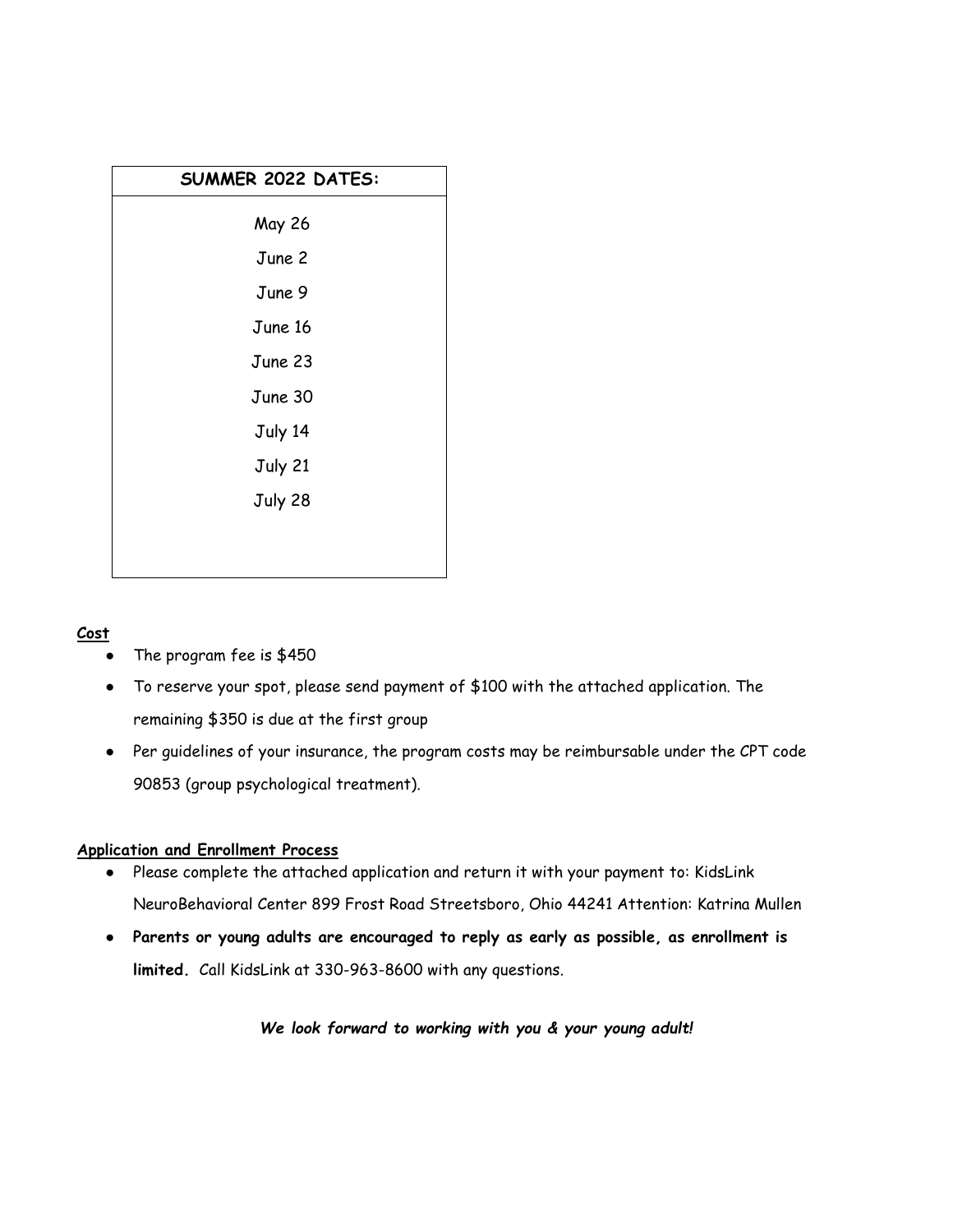| SUMMER 2022 DATES: |  |  |
|--------------------|--|--|
| May 26             |  |  |
| June 2             |  |  |
| June 9             |  |  |
| June 16            |  |  |
| June 23            |  |  |
| June 30            |  |  |
| July 14            |  |  |
| July 21            |  |  |
| July 28            |  |  |
|                    |  |  |
|                    |  |  |

## **Cost**

- The program fee is \$450
- To reserve your spot, please send payment of \$100 with the attached application. The remaining \$350 is due at the first group
- Per guidelines of your insurance, the program costs may be reimbursable under the CPT code 90853 (group psychological treatment).

## **Application and Enrollment Process**

- Please complete the attached application and return it with your payment to: KidsLink NeuroBehavioral Center 899 Frost Road Streetsboro, Ohio 44241 Attention: Katrina Mullen
- **Parents or young adults are encouraged to reply as early as possible, as enrollment is limited.** Call KidsLink at 330-963-8600 with any questions.

*We look forward to working with you & your young adult!*